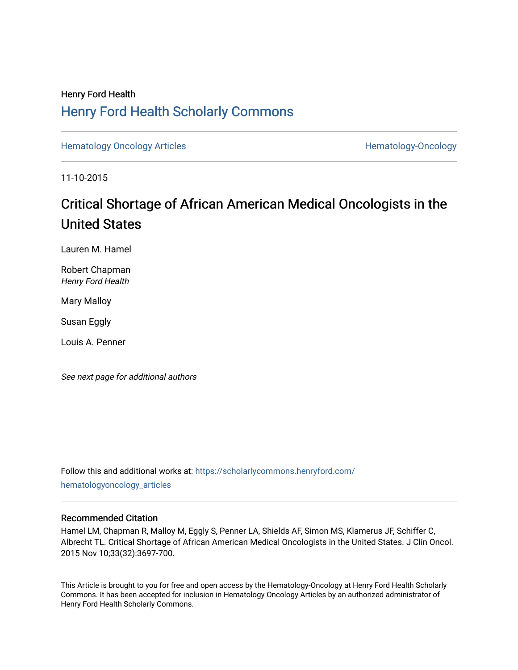# Henry Ford Health [Henry Ford Health Scholarly Commons](https://scholarlycommons.henryford.com/)

[Hematology Oncology Articles](https://scholarlycommons.henryford.com/hematologyoncology_articles) **Hematology-Oncology** 

11-10-2015

# Critical Shortage of African American Medical Oncologists in the United States

Lauren M. Hamel

Robert Chapman Henry Ford Health

Mary Malloy

Susan Eggly

Louis A. Penner

See next page for additional authors

Follow this and additional works at: [https://scholarlycommons.henryford.com/](https://scholarlycommons.henryford.com/hematologyoncology_articles?utm_source=scholarlycommons.henryford.com%2Fhematologyoncology_articles%2F100&utm_medium=PDF&utm_campaign=PDFCoverPages) [hematologyoncology\\_articles](https://scholarlycommons.henryford.com/hematologyoncology_articles?utm_source=scholarlycommons.henryford.com%2Fhematologyoncology_articles%2F100&utm_medium=PDF&utm_campaign=PDFCoverPages)

### Recommended Citation

Hamel LM, Chapman R, Malloy M, Eggly S, Penner LA, Shields AF, Simon MS, Klamerus JF, Schiffer C, Albrecht TL. Critical Shortage of African American Medical Oncologists in the United States. J Clin Oncol. 2015 Nov 10;33(32):3697-700.

This Article is brought to you for free and open access by the Hematology-Oncology at Henry Ford Health Scholarly Commons. It has been accepted for inclusion in Hematology Oncology Articles by an authorized administrator of Henry Ford Health Scholarly Commons.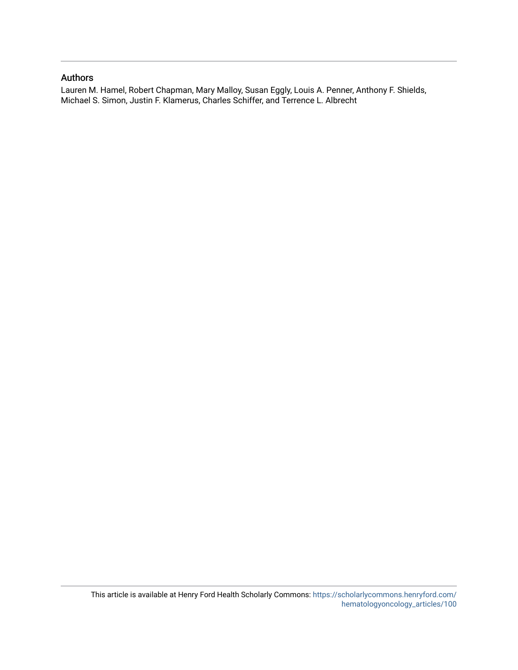### Authors

Lauren M. Hamel, Robert Chapman, Mary Malloy, Susan Eggly, Louis A. Penner, Anthony F. Shields, Michael S. Simon, Justin F. Klamerus, Charles Schiffer, and Terrence L. Albrecht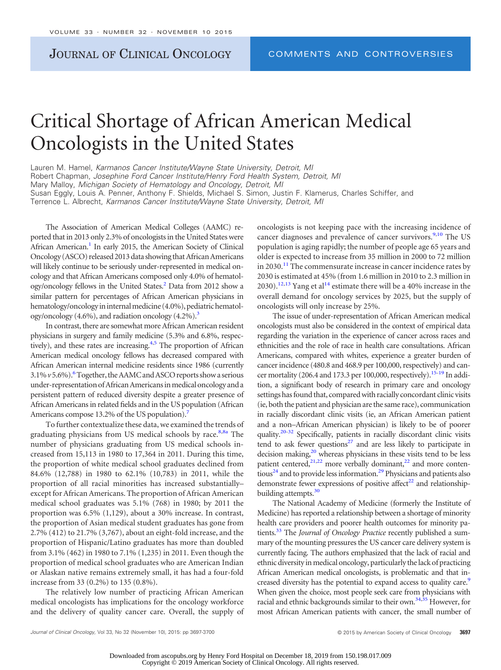## JOURNAL OF CLINICAL ONCOLOGY COMMENTS AND CONTROVERSIES

# Critical Shortage of African American Medical Oncologists in the United States

Lauren M. Hamel, *Karmanos Cancer Institute/Wayne State University, Detroit, MI* Robert Chapman, *Josephine Ford Cancer Institute/Henry Ford Health System, Detroit, MI* Mary Malloy, *Michigan Society of Hematology and Oncology, Detroit, MI* Susan Eggly, Louis A. Penner, Anthony F. Shields, Michael S. Simon, Justin F. Klamerus, Charles Schiffer, and Terrence L. Albrecht, *Karmanos Cancer Institute/Wayne State University, Detroit, MI*

The Association of American Medical Colleges (AAMC) reported that in 2013 only 2.3% of oncologists in the United States were African American.<sup>1</sup> In early 2015, the American Society of Clinical Oncology (ASCO) released 2013 data showing that African Americans will likely continue to be seriously under-represented in medical oncology and that African Americans composed only 4.0% of hematology/oncology fellows in the United States.<sup>2</sup> Data from 2012 show a similar pattern for percentages of African American physicians in hematology/oncology in internal medicine (4.0%), pediatric hematology/oncology  $(4.6\%)$ , and radiation oncology  $(4.2\%)$ .<sup>3</sup>

In contrast, there are somewhat more African American resident physicians in surgery and family medicine (5.3% and 6.8%, respec-tively), and these rates are increasing.<sup>4,[5](#page-4-4)</sup> The proportion of African American medical oncology fellows has decreased compared with African American internal medicine residents since 1986 (currently 3.1%  $v$  5[.6](#page-4-5)%).<sup>6</sup> Together, the AAMC and ASCO reports show a serious under-representation of African Americans in medical oncology and a persistent pattern of reduced diversity despite a greater presence of African Americans in related fields and in the US population (African Americans compose 13.2% of the US population).<sup>7</sup>

To further contextualize these data, we examined the trends of graduating physicians from US medical schools by race. $8,8a$  $8,8a$  The number of physicians graduating from US medical schools increased from 15,113 in 1980 to 17,364 in 2011. During this time, the proportion of white medical school graduates declined from 84.6% (12,788) in 1980 to 62.1% (10,783) in 2011, while the proportion of all racial minorities has increased substantially– except for African Americans. The proportion of African American medical school graduates was 5.1% (768) in 1980; by 2011 the proportion was 6.5% (1,129), about a 30% increase. In contrast, the proportion of Asian medical student graduates has gone from 2.7% (412) to 21.7% (3,767), about an eight-fold increase, and the proportion of Hispanic/Latino graduates has more than doubled from 3.1% (462) in 1980 to 7.1% (1,235) in 2011. Even though the proportion of medical school graduates who are American Indian or Alaskan native remains extremely small, it has had a four-fold increase from 33 (0.2%) to 135 (0.8%).

The relatively low number of practicing African American medical oncologists has implications for the oncology workforce and the delivery of quality cancer care. Overall, the supply of oncologists is not keeping pace with the increasing incidence of cancer diagnoses and prevalence of cancer survivors.<sup>[9](#page-4-9)[,10](#page-4-10)</sup> The US population is aging rapidly; the number of people age 65 years and older is expected to increase from 35 million in 2000 to 72 million in 2030.<sup>[11](#page-4-11)</sup> The commensurate increase in cancer incidence rates by 2030 is estimated at 45% (from 1.6 million in 2010 to 2.3 million in 2030).<sup>[12](#page-4-12)[,13](#page-4-13)</sup> Yang et al<sup>[14](#page-4-14)</sup> estimate there will be a 40% increase in the overall demand for oncology services by 2025, but the supply of oncologists will only increase by 25%.

The issue of under-representation of African American medical oncologists must also be considered in the context of empirical data regarding the variation in the experience of cancer across races and ethnicities and the role of race in health care consultations. African Americans, compared with whites, experience a greater burden of cancer incidence (480.8 and 468.9 per 100,000, respectively) and cancer mortality (206.4 and 173.3 per 100,000, respectively).  $15-19$  $15-19$  In addition, a significant body of research in primary care and oncology settings has found that, compared with racially concordant clinic visits (ie, both the patient and physician are the same race), communication in racially discordant clinic visits (ie, an African American patient and a non–African American physician) is likely to be of poorer quality.<sup>20[-32](#page-4-18)</sup> Specifically, patients in racially discordant clinic visits tend to ask fewer questions $27$  and are less likely to participate in decision making,<sup>20</sup> whereas physicians in these visits tend to be less patient centered,<sup>21,[22](#page-4-21)</sup> more verbally dominant,<sup>22</sup> and more contentious<sup>24</sup> and to provide less information.<sup>29</sup> Physicians and patients also demonstrate fewer expressions of positive affect<sup>22</sup> and relationshipbuilding attempts.<sup>30</sup>

The National Academy of Medicine (formerly the Institute of Medicine) has reported a relationship between a shortage of minority health care providers and poorer health outcomes for minority patients[.33](#page-4-25) The *Journal of Oncology Practice* recently published a summary of the mounting pressures the US cancer care delivery system is currently facing. The authors emphasized that the lack of racial and ethnic diversity in medical oncology, particularly the lack of practicing African American medical oncologists, is problematic and that increased diversity has the potential to expand access to quality care.<sup>9</sup> When given the choice, most people seek care from physicians with racial and ethnic backgrounds similar to their own.<sup>34,[35](#page-4-27)</sup> However, for most African American patients with cancer, the small number of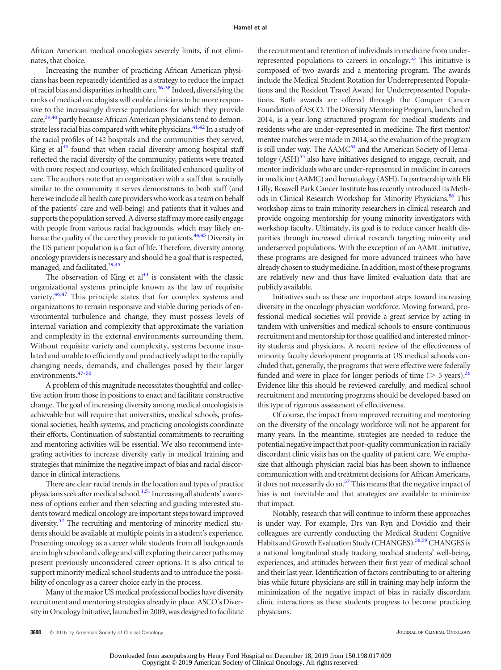African American medical oncologists severely limits, if not eliminates, that choice.

Increasing the number of practicing African American physicians has been repeatedly identified as a strategy to reduce the impact of racial bias and disparities in health care.<sup>36[-38](#page-4-29)</sup> Indeed, diversifying the ranks of medical oncologists will enable clinicians to be more responsive to the increasingly diverse populations for which they provide care,<sup>39[,40](#page-4-31)</sup> partly because African American physicians tend to demon-strate less racial bias compared with white physicians.<sup>41[,42](#page-4-33)</sup> In a study of the racial profiles of 142 hospitals and the communities they served, King et  $al<sup>43</sup>$  found that when racial diversity among hospital staff reflected the racial diversity of the community, patients were treated with more respect and courtesy, which facilitated enhanced quality of care. The authors note that an organization with a staff that is racially similar to the community it serves demonstrates to both staff (and here we include all health care providers who work as a team on behalf of the patients' care and well-being) and patients that it values and supports the population served. A diverse staff may more easily engage with people from various racial backgrounds, which may likely en-hance the quality of the care they provide to patients.<sup>44,[45](#page-5-2)</sup> Diversity in the US patient population is a fact of life. Therefore, diversity among oncology providers is necessary and should be a goal that is respected, managed, and facilitated.<sup>39,[45](#page-5-2)</sup>

The observation of King et  $al<sup>43</sup>$  is consistent with the classic organizational systems principle known as the law of requisite variety.<sup>[46](#page-5-3)[,47](#page-5-4)</sup> This principle states that for complex systems and organizations to remain responsive and viable during periods of environmental turbulence and change, they must possess levels of internal variation and complexity that approximate the variation and complexity in the external environments surrounding them. Without requisite variety and complexity, systems become insulated and unable to efficiently and productively adapt to the rapidly changing needs, demands, and challenges posed by their larger environments.[47](#page-5-4)[-50](#page-5-5)

A problem of this magnitude necessitates thoughtful and collective action from those in positions to enact and facilitate constructive change. The goal of increasing diversity among medical oncologists is achievable but will require that universities, medical schools, professional societies, health systems, and practicing oncologists coordinate their efforts. Continuation of substantial commitments to recruiting and mentoring activities will be essential. We also recommend integrating activities to increase diversity early in medical training and strategies that minimize the negative impact of bias and racial discordance in clinical interactions.

There are clear racial trends in the location and types of practice physicians seek after medical school.<sup>1[,51](#page-5-6)</sup> Increasing all students' awareness of options earlier and then selecting and guiding interested students toward medical oncology are important steps toward improved diversity.<sup>52</sup> The recruiting and mentoring of minority medical students should be available at multiple points in a student's experience. Presenting oncology as a career while students from all backgrounds are in high school and college and still exploring their career paths may present previously unconsidered career options. It is also critical to support minority medical school students and to introduce the possibility of oncology as a career choice early in the process.

Many of the major US medical professional bodies have diversity recruitment and mentoring strategies already in place. ASCO's Diversity in Oncology Initiative, launched in 2009, was designed to facilitate the recruitment and retention of individuals in medicine from underrepresented populations to careers in oncology[.53](#page-5-8) This initiative is composed of two awards and a mentoring program. The awards include the Medical Student Rotation for Underrepresented Populations and the Resident Travel Award for Underrepresented Populations. Both awards are offered through the Conquer Cancer Foundation of ASCO. The Diversity Mentoring Program, launched in 2014, is a year-long structured program for medical students and residents who are under-represented in medicine. The first mentor/ mentee matches were made in 2014, so the evaluation of the program is still under way. The AAMC<sup>54</sup> and the American Society of Hematology  $(ASH)^{55}$  also have initiatives designed to engage, recruit, and mentor individuals who are under-represented in medicine in careers in medicine (AAMC) and hematology (ASH). In partnership with Eli Lilly, Roswell Park Cancer Institute has recently introduced its Methods in Clinical Research Workshop for Minority Physicians.<sup>56</sup> This workshop aims to train minority researchers in clinical research and provide ongoing mentorship for young minority investigators with workshop faculty. Ultimately, its goal is to reduce cancer health disparities through increased clinical research targeting minority and underserved populations. With the exception of an AAMC initiative, these programs are designed for more advanced trainees who have already chosen to study medicine. In addition, most of these programs are relatively new and thus have limited evaluation data that are publicly available.

Initiatives such as these are important steps toward increasing diversity in the oncology physician workforce. Moving forward, professional medical societies will provide a great service by acting in tandem with universities and medical schools to ensure continuous recruitment and mentorship for those qualified and interested minority students and physicians. A recent review of the effectiveness of minority faculty development programs at US medical schools concluded that, generally, the programs that were effective were federally funded and were in place for longer periods of time ( $> 5$  years).<sup>36</sup> Evidence like this should be reviewed carefully, and medical school recruitment and mentoring programs should be developed based on this type of rigorous assessment of effectiveness.

Of course, the impact from improved recruiting and mentoring on the diversity of the oncology workforce will not be apparent for many years. In the meantime, strategies are needed to reduce the potential negative impact that poor-quality communication in racially discordant clinic visits has on the quality of patient care. We emphasize that although physician racial bias has been shown to influence communication with and treatment decisions for African Americans, it does not necessarily do so. $57$  This means that the negative impact of bias is not inevitable and that strategies are available to minimize that impact.

Notably, research that will continue to inform these approaches is under way. For example, Drs van Ryn and Dovidio and their colleagues are currently conducting the Medical Student Cognitive Habits and Growth Evaluation Study (CHANGES).<sup>58,[59](#page-5-14)</sup> CHANGES is a national longitudinal study tracking medical students' well-being, experiences, and attitudes between their first year of medical school and their last year. Identification of factors contributing to or altering bias while future physicians are still in training may help inform the minimization of the negative impact of bias in racially discordant clinic interactions as these students progress to become practicing physicians.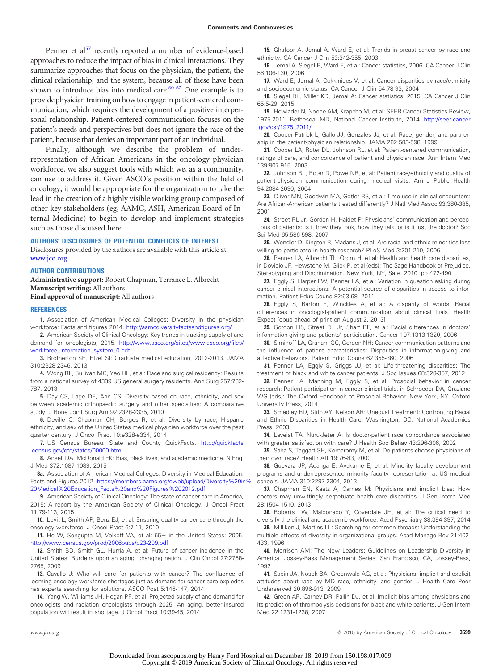Penner et al<sup>57</sup> recently reported a number of evidence-based approaches to reduce the impact of bias in clinical interactions. They summarize approaches that focus on the physician, the patient, the clinical relationship, and the system, because all of these have been shown to introduce bias into medical care.<sup>60-[62](#page-5-16)</sup> One example is to provide physician training on how to engage in patient-centered communication, which requires the development of a positive interpersonal relationship. Patient-centered communication focuses on the patient's needs and perspectives but does not ignore the race of the patient, because that denies an important part of an individual.

Finally, although we describe the problem of underrepresentation of African Americans in the oncology physician workforce, we also suggest tools with which we, as a community, can use to address it. Given ASCO's position within the field of oncology, it would be appropriate for the organization to take the lead in the creation of a highly visible working group composed of other key stakeholders (eg, AAMC, ASH, American Board of Internal Medicine) to begin to develop and implement strategies such as those discussed here.

#### **AUTHORS' DISCLOSURES OF POTENTIAL CONFLICTS OF INTEREST**

Disclosures provided by the authors are available with this article at [www.jco.org.](http://www.jco.org)

#### **AUTHOR CONTRIBUTIONS**

**Administrative support:** Robert Chapman, Terrance L. Albrecht **Manuscript writing:** All authors **Final approval of manuscript:** All authors

#### **REFERENCES**

<span id="page-4-0"></span>**1.** Association of American Medical Colleges: Diversity in the physician workforce: Facts and figures 2014. <http://aamcdiversityfactsandfigures.org/>

<span id="page-4-1"></span>**2.** American Society of Clinical Oncology: Key trends in tracking supply of and demand for oncologists, 2015. [http://www.asco.org/sites/www.asco.org/files/](http://www.asco.org/sites/www.asco.org/files/workforce_information_system_0.pdf) [workforce\\_information\\_system\\_0.pdf](http://www.asco.org/sites/www.asco.org/files/workforce_information_system_0.pdf)

<span id="page-4-2"></span>**3.** Brotherton SE, Etzel SI: Graduate medical education, 2012-2013. JAMA 310:2328-2346, 2013

<span id="page-4-3"></span>**4.** Wong RL, Sullivan MC, Yeo HL, et al: Race and surgical residency: Results from a national survey of 4339 US general surgery residents. Ann Surg 257:782- 787, 2013

<span id="page-4-4"></span>**5.** Day CS, Lage DE, Ahn CS: Diversity based on race, ethnicity, and sex between academic orthopaedic surgery and other specialties: A comparative study. J Bone Joint Surg Am 92:2328-2335, 2010

<span id="page-4-5"></span>**6.** Deville C, Chapman CH, Burgos R, et al: Diversity by race, Hispanic ethnicity, and sex of the United States medical physician workforce over the past quarter century. J Oncol Pract 10:e328-e334, 2014

<span id="page-4-6"></span>**7.** US Census Bureau: State and County QuickFacts. [http://quickfacts](http://quickfacts.census.gov/qfd/states/00000.html) [.census.gov/qfd/states/00000.html](http://quickfacts.census.gov/qfd/states/00000.html)

<span id="page-4-7"></span>**8.** Ansell DA, McDonald EK: Bias, black lives, and academic medicine. N Engl J Med 372:1087-1089, 2015

<span id="page-4-8"></span>**8a.** Association of American Medical Colleges: Diversity in Medical Education: Facts and Figures 2012. https://members.aamc.org/eweb/upload/Diversity%20in% 20Medical%20Education\_Facts%20and%20Figures%202012.pdf

<span id="page-4-9"></span>**9.** American Society of Clinical Oncology: The state of cancer care in America,

2015: A report by the American Society of Clinical Oncology. J Oncol Pract 11:79-113, 2015

<span id="page-4-10"></span>**10.** Levit L, Smith AP, Benz EJ, et al: Ensuring quality cancer care through the oncology workforce. J Oncol Pract 6:7-11, 2010

<span id="page-4-11"></span>11. He W, Sengupta M, Velkoff VA, et al: 65+ in the United States: 2005. <http://www.census.gov/prod/2006pubs/p23-209.pdf>

<span id="page-4-12"></span>**12.** Smith BD, Smith GL, Hurria A, et al: Future of cancer incidence in the United States: Burdens upon an aging, changing nation. J Clin Oncol 27:2758- 2765, 2009

<span id="page-4-13"></span>**13.** Cavallo J: Who will care for patients with cancer? The confluence of looming oncology workforce shortages just as demand for cancer care explodes has experts searching for solutions. ASCO Post 5:146-147, 2014

<span id="page-4-14"></span>**14.** Yang W, Williams JH, Hogan PF, et al: Projected supply of and demand for oncologists and radiation oncologists through 2025: An aging, better-insured population will result in shortage. J Oncol Pract 10:39-45, 2014

<span id="page-4-15"></span>**15.** Ghafoor A, Jemal A, Ward E, et al: Trends in breast cancer by race and ethnicity. CA Cancer J Clin 53:342-355, 2003

**16.** Jemal A, Siegel R, Ward E, et al: Cancer statistics, 2006. CA Cancer J Clin 56:106-130, 2006

**17.** Ward E, Jemal A, Cokkinides V, et al: Cancer disparities by race/ethnicity and socioeconomic status. CA Cancer J Clin 54:78-93, 2004

**18.** Siegel RL, Miller KD, Jemal A: Cancer statistics, 2015. CA Cancer J Clin 65:5-29, 2015

<span id="page-4-16"></span>**19.** Howlader N, Noone AM, Krapcho M, et al: SEER Cancer Statistics Review, 1975-2011, Bethesda, MD, National Cancer Institute, 2014. [http://seer.cancer](http://seer.cancer.gov/csr/1975_2011/) [.gov/csr/1975\\_2011/](http://seer.cancer.gov/csr/1975_2011/)

<span id="page-4-17"></span>**20.** Cooper-Patrick L, Gallo JJ, Gonzales JJ, et al: Race, gender, and partnership in the patient-physician relationship. JAMA 282:583-598, 1999

<span id="page-4-20"></span>**21.** Cooper LA, Roter DL, Johnson RL, et al: Patient-centered communication, ratings of care, and concordance of patient and physician race. Ann Intern Med 139:907-915, 2003

<span id="page-4-21"></span>**22.** Johnson RL, Roter D, Powe NR, et al: Patient race/ethnicity and quality of patient-physician communication during medical visits. Am J Public Health 94:2084-2090, 2004

**23.** Oliver MN, Goodwin MA, Gotler RS, et al: Time use in clinical encounters: Are African-American patients treated differently? J Natl Med Assoc 93:380-385, 2001

<span id="page-4-22"></span>**24.** Street RL Jr, Gordon H, Haidet P: Physicians' communication and perceptions of patients: Is it how they look, how they talk, or is it just the doctor? Soc Sci Med 65:586-598, 2007

**25.** Wendler D, Kington R, Madans J, et al: Are racial and ethnic minorities less willing to participate in health research? PLoS Med 3:201-210, 2006

**26.** Penner LA, Albrecht TL, Orom H, et al: Health and health care disparities, in Dovidio JF, Hewstone M, Glick P, et al (eds): The Sage Handbook of Prejudice, Stereotyping and Discrimination. New York, NY, Safe, 2010, pp 472-490

<span id="page-4-19"></span>**27.** Eggly S, Harper FW, Penner LA, et al: Variation in question asking during cancer clinical interactions: A potential source of disparities in access to information. Patient Educ Couns 82:63-68, 2011

**28.** Eggly S, Barton E, Winckles A, et al: A disparity of words: Racial differences in oncologist-patient communication about clinical trials. Health Expect [epub ahead of print on August 2, 2013]

<span id="page-4-23"></span>**29.** Gordon HS, Street RL Jr, Sharf BF, et al: Racial differences in doctors' information-giving and patients' participation. Cancer 107:1313-1320, 2006

<span id="page-4-24"></span>**30.** Siminoff LA, Graham GC, Gordon NH: Cancer communication patterns and the influence of patient characteristics: Disparities in information-giving and affective behaviors. Patient Educ Couns 62:355-360, 2006

**31.** Penner LA, Eggly S, Griggs JJ, et al: Life-threatening disparities: The treatment of black and white cancer patients. J Soc Issues 68:328-357, 2012

<span id="page-4-18"></span>**32.** Penner LA, Manning M, Eggly S, et al: Prosocial behavior in cancer research: Patient participation in cancer clinical trials, in Schroeder DA, Graziano WG (eds): The Oxford Handbook of Prosocial Behavior. New York, NY, Oxford University Press, 2014

<span id="page-4-25"></span>**33.** Smedley BD, Stith AY, Nelson AR: Unequal Treatment: Confronting Racial and Ethnic Disparities in Health Care. Washington, DC, National Academies Press, 2003

<span id="page-4-26"></span>**34.** Laveist TA, Nuru-Jeter A: Is doctor-patient race concordance associated with greater satisfaction with care? J Health Soc Behav 43:296-306, 2002

<span id="page-4-27"></span>**35.** Saha S, Taggart SH, Komaromy M, et al: Do patients choose physicians of their own race? Health Aff 19:76-83, 2000

<span id="page-4-28"></span>**36.** Guevara JP, Adanga E, Avakame E, et al: Minority faculty development programs and underrepresented minority faculty representation at US medical schools. JAMA 310:2297-2304, 2013

**37.** Chapman EN, Kaatz A, Carnes M: Physicians and implicit bias: How doctors may unwittingly perpetuate health care disparities. J Gen Intern Med 28:1504-1510, 2013

<span id="page-4-29"></span>**38.** Roberts LW, Maldonado Y, Coverdale JH, et al: The critical need to diversify the clinical and academic workforce. Acad Psychiatry 38:394-397, 2014

<span id="page-4-30"></span>**39.** Milliken J, Martins LL: Searching for common threads: Understanding the multiple effects of diversity in organizational groups. Acad Manage Rev 21:402- 433, 1996

<span id="page-4-31"></span>**40.** Morrison AM: The New Leaders: Guidelines on Leadership Diversity in America. Jossey-Bass Management Series. San Francisco, CA, Jossey-Bass, 1992

<span id="page-4-32"></span>**41.** Sabin JA, Nosek BA, Greenwald AG, et al: Physicians' implicit and explicit attitudes about race by MD race, ethnicity, and gender. J Health Care Poor Underserved 20:896-913, 2009

<span id="page-4-33"></span>**42.** Green AR, Carney DR, Pallin DJ, et al: Implicit bias among physicians and its prediction of thrombolysis decisions for black and white patients. J Gen Intern Med 22:1231-1238, 2007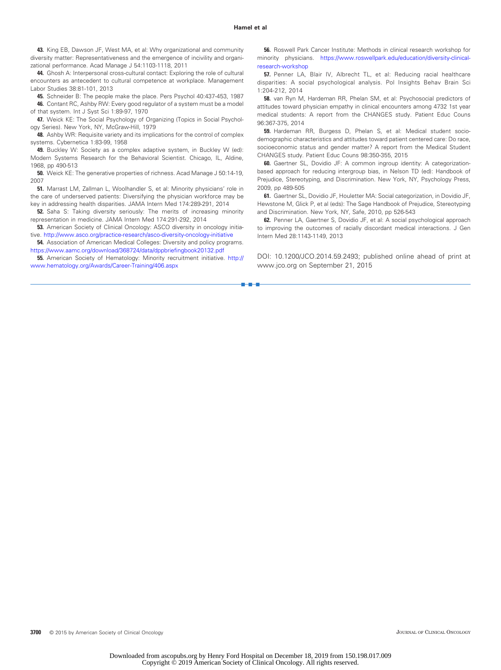■■■

<span id="page-5-0"></span>**43.** King EB, Dawson JF, West MA, et al: Why organizational and community diversity matter: Representativeness and the emergence of incivility and organizational performance. Acad Manage J 54:1103-1118, 2011

<span id="page-5-1"></span>**44.** Ghosh A: Interpersonal cross-cultural contact: Exploring the role of cultural encounters as antecedent to cultural competence at workplace. Management Labor Studies 38:81-101, 2013

**45.** Schneider B: The people make the place. Pers Psychol 40:437-453, 1987

<span id="page-5-3"></span><span id="page-5-2"></span>**46.** Contant RC, Ashby RW: Every good regulator of a system must be a model of that system. Int J Syst Sci 1:89-97, 1970

<span id="page-5-4"></span>**47.** Weick KE: The Social Psychology of Organizing (Topics in Social Psychology Series). New York, NY, McGraw-Hill, 1979

**48.** Ashby WR: Requisite variety and its implications for the control of complex systems. Cybernetica 1:83-99, 1958

**49.** Buckley W: Society as a complex adaptive system, in Buckley W (ed): Modern Systems Research for the Behavioral Scientist. Chicago, IL, Aldine, 1968, pp 490-513

<span id="page-5-5"></span>**50.** Weick KE: The generative properties of richness. Acad Manage J 50:14-19, 2007

<span id="page-5-6"></span>**51.** Marrast LM, Zallman L, Woolhandler S, et al: Minority physicians' role in the care of underserved patients: Diversifying the physician workforce may be key in addressing health disparities. JAMA Intern Med 174:289-291, 2014

<span id="page-5-7"></span>**52.** Saha S: Taking diversity seriously: The merits of increasing minority representation in medicine. JAMA Intern Med 174:291-292, 2014

<span id="page-5-8"></span>**53.** American Society of Clinical Oncology: ASCO diversity in oncology initiative. <http://www.asco.org/practice-research/asco-diversity-oncology-initiative>

<span id="page-5-9"></span>**54.** Association of American Medical Colleges: Diversity and policy programs. <https://www.aamc.org/download/368724/data/dppbriefingbook20132.pdf>

<span id="page-5-10"></span>**55.** American Society of Hematology: Minority recruitment initiative. [http://](http://www.hematology.org/Awards/Career-Training/406.aspx) [www.hematology.org/Awards/Career-Training/406.aspx](http://www.hematology.org/Awards/Career-Training/406.aspx)

<span id="page-5-11"></span>**56.** Roswell Park Cancer Institute: Methods in clinical research workshop for minority physicians. [https://www.roswellpark.edu/education/diversity-clinical](https://www.roswellpark.edu/education/diversity-clinical-research-workshop)[research-workshop](https://www.roswellpark.edu/education/diversity-clinical-research-workshop)

<span id="page-5-12"></span>**57.** Penner LA, Blair IV, Albrecht TL, et al: Reducing racial healthcare disparities: A social psychological analysis. Pol Insights Behav Brain Sci 1:204-212, 2014

<span id="page-5-13"></span>**58.** van Ryn M, Hardeman RR, Phelan SM, et al: Psychosocial predictors of attitudes toward physician empathy in clinical encounters among 4732 1st year medical students: A report from the CHANGES study. Patient Educ Couns 96:367-375, 2014

<span id="page-5-14"></span>**59.** Hardeman RR, Burgess D, Phelan S, et al: Medical student sociodemographic characteristics and attitudes toward patient centered care: Do race, socioeconomic status and gender matter? A report from the Medical Student CHANGES study. Patient Educ Couns 98:350-355, 2015

<span id="page-5-15"></span>**60.** Gaertner SL, Dovidio JF: A common ingroup identity: A categorizationbased approach for reducing intergroup bias, in Nelson TD (ed): Handbook of Prejudice, Stereotyping, and Discrimination. New York, NY, Psychology Press, 2009, pp 489-505

**61.** Gaertner SL, Dovidio JF, Houletter MA: Social categorization, in Dovidio JF, Hewstone M, Glick P, et al (eds): The Sage Handbook of Prejudice, Stereotyping and Discrimination. New York, NY, Safe, 2010, pp 526-543

<span id="page-5-16"></span>**62.** Penner LA, Gaertner S, Dovidio JF, et al: A social psychological approach to improving the outcomes of racially discordant medical interactions. J Gen Intern Med 28:1143-1149, 2013

DOI: [10.1200/JCO.2014.59.2493;](http://dx.doi.org/10.1200/JCO.2014.59.2493) published online ahead of print at www.jco.org on September 21, 2015